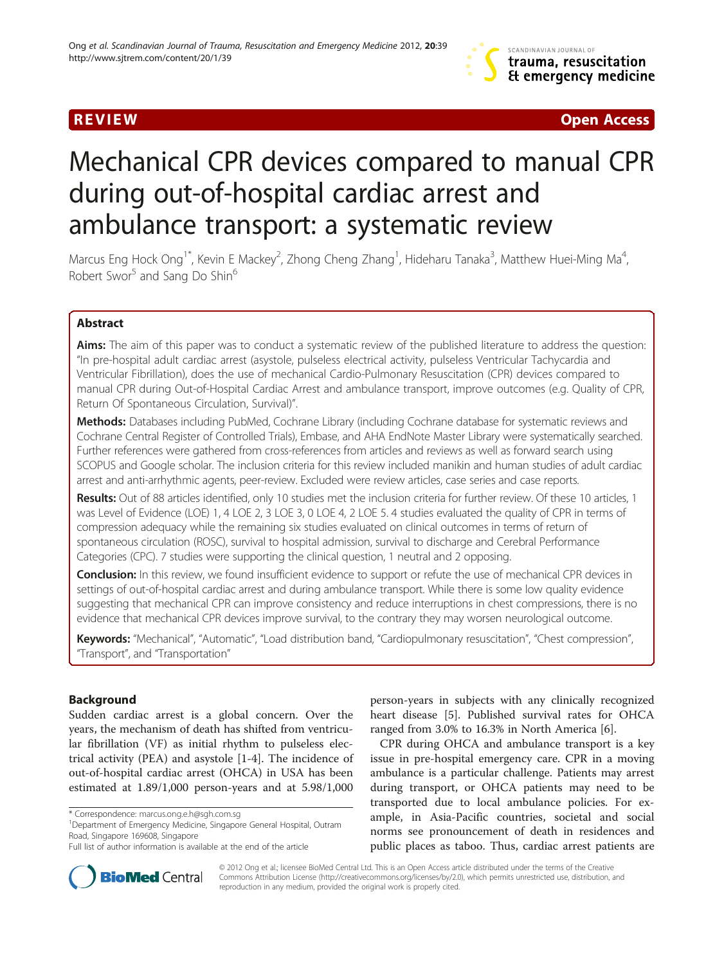R EVI EW Open Access

# Mechanical CPR devices compared to manual CPR during out-of-hospital cardiac arrest and ambulance transport: a systematic review

Marcus Eng Hock Ong<sup>1\*</sup>, Kevin E Mackey<sup>2</sup>, Zhong Cheng Zhang<sup>1</sup>, Hideharu Tanaka<sup>3</sup>, Matthew Huei-Ming Ma<sup>4</sup> , Robert Swor<sup>5</sup> and Sang Do Shin<sup>6</sup>

# Abstract

Aims: The aim of this paper was to conduct a systematic review of the published literature to address the question: "In pre-hospital adult cardiac arrest (asystole, pulseless electrical activity, pulseless Ventricular Tachycardia and Ventricular Fibrillation), does the use of mechanical Cardio-Pulmonary Resuscitation (CPR) devices compared to manual CPR during Out-of-Hospital Cardiac Arrest and ambulance transport, improve outcomes (e.g. Quality of CPR, Return Of Spontaneous Circulation, Survival)".

Methods: Databases including PubMed, Cochrane Library (including Cochrane database for systematic reviews and Cochrane Central Register of Controlled Trials), Embase, and AHA EndNote Master Library were systematically searched. Further references were gathered from cross-references from articles and reviews as well as forward search using SCOPUS and Google scholar. The inclusion criteria for this review included manikin and human studies of adult cardiac arrest and anti-arrhythmic agents, peer-review. Excluded were review articles, case series and case reports.

Results: Out of 88 articles identified, only 10 studies met the inclusion criteria for further review. Of these 10 articles, 1 was Level of Evidence (LOE) 1, 4 LOE 2, 3 LOE 3, 0 LOE 4, 2 LOE 5. 4 studies evaluated the quality of CPR in terms of compression adequacy while the remaining six studies evaluated on clinical outcomes in terms of return of spontaneous circulation (ROSC), survival to hospital admission, survival to discharge and Cerebral Performance Categories (CPC). 7 studies were supporting the clinical question, 1 neutral and 2 opposing.

Conclusion: In this review, we found insufficient evidence to support or refute the use of mechanical CPR devices in settings of out-of-hospital cardiac arrest and during ambulance transport. While there is some low quality evidence suggesting that mechanical CPR can improve consistency and reduce interruptions in chest compressions, there is no evidence that mechanical CPR devices improve survival, to the contrary they may worsen neurological outcome.

Keywords: "Mechanical", "Automatic", "Load distribution band, "Cardiopulmonary resuscitation", "Chest compression", "Transport", and "Transportation"

# Background

Sudden cardiac arrest is a global concern. Over the years, the mechanism of death has shifted from ventricular fibrillation (VF) as initial rhythm to pulseless electrical activity (PEA) and asystole [\[1](#page-8-0)-[4\]](#page-8-0). The incidence of out-of-hospital cardiac arrest (OHCA) in USA has been estimated at 1.89/1,000 person-years and at 5.98/1,000

<sup>1</sup>Department of Emergency Medicine, Singapore General Hospital, Outram Road, Singapore 169608, Singapore

person-years in subjects with any clinically recognized heart disease [[5\]](#page-8-0). Published survival rates for OHCA ranged from 3.0% to 16.3% in North America [\[6](#page-8-0)].

CPR during OHCA and ambulance transport is a key issue in pre-hospital emergency care. CPR in a moving ambulance is a particular challenge. Patients may arrest during transport, or OHCA patients may need to be transported due to local ambulance policies. For example, in Asia-Pacific countries, societal and social norms see pronouncement of death in residences and public places as taboo. Thus, cardiac arrest patients are



© 2012 Ong et al.; licensee BioMed Central Ltd. This is an Open Access article distributed under the terms of the Creative Commons Attribution License [\(http://creativecommons.org/licenses/by/2.0\)](http://creativecommons.org/licenses/by/2.0), which permits unrestricted use, distribution, and reproduction in any medium, provided the original work is properly cited.

<sup>\*</sup> Correspondence: [marcus.ong.e.h@sgh.com.sg](mailto:marcus.ong.e.h@sgh.com.sg) <sup>1</sup>

Full list of author information is available at the end of the article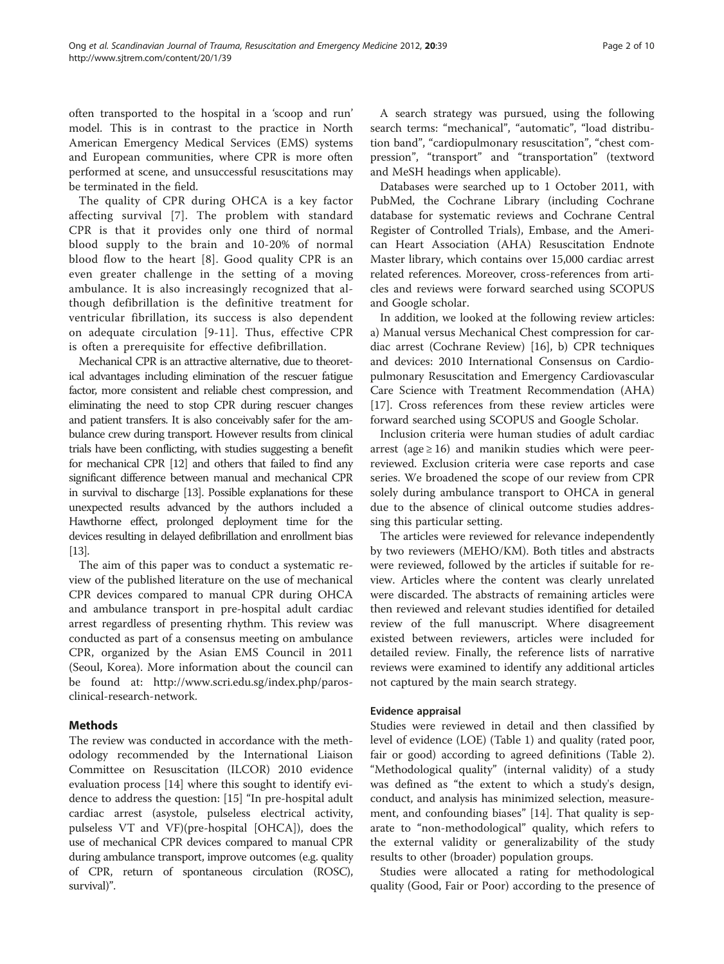often transported to the hospital in a 'scoop and run' model. This is in contrast to the practice in North American Emergency Medical Services (EMS) systems and European communities, where CPR is more often performed at scene, and unsuccessful resuscitations may be terminated in the field.

The quality of CPR during OHCA is a key factor affecting survival [[7\]](#page-8-0). The problem with standard CPR is that it provides only one third of normal blood supply to the brain and 10-20% of normal blood flow to the heart [[8](#page-8-0)]. Good quality CPR is an even greater challenge in the setting of a moving ambulance. It is also increasingly recognized that although defibrillation is the definitive treatment for ventricular fibrillation, its success is also dependent on adequate circulation [\[9](#page-8-0)-[11](#page-8-0)]. Thus, effective CPR is often a prerequisite for effective defibrillation.

Mechanical CPR is an attractive alternative, due to theoretical advantages including elimination of the rescuer fatigue factor, more consistent and reliable chest compression, and eliminating the need to stop CPR during rescuer changes and patient transfers. It is also conceivably safer for the ambulance crew during transport. However results from clinical trials have been conflicting, with studies suggesting a benefit for mechanical CPR [\[12\]](#page-8-0) and others that failed to find any significant difference between manual and mechanical CPR in survival to discharge [[13\]](#page-8-0). Possible explanations for these unexpected results advanced by the authors included a Hawthorne effect, prolonged deployment time for the devices resulting in delayed defibrillation and enrollment bias [[13\]](#page-8-0).

The aim of this paper was to conduct a systematic review of the published literature on the use of mechanical CPR devices compared to manual CPR during OHCA and ambulance transport in pre-hospital adult cardiac arrest regardless of presenting rhythm. This review was conducted as part of a consensus meeting on ambulance CPR, organized by the Asian EMS Council in 2011 (Seoul, Korea). More information about the council can be found at: [http://www.scri.edu.sg/index.php/paros](http://www.scri.edu.sg/index.php/paros-clinical-research-network)[clinical-research-network](http://www.scri.edu.sg/index.php/paros-clinical-research-network).

# Methods

The review was conducted in accordance with the methodology recommended by the International Liaison Committee on Resuscitation (ILCOR) 2010 evidence evaluation process [\[14](#page-8-0)] where this sought to identify evidence to address the question: [[15\]](#page-8-0) "In pre-hospital adult cardiac arrest (asystole, pulseless electrical activity, pulseless VT and VF)(pre-hospital [OHCA]), does the use of mechanical CPR devices compared to manual CPR during ambulance transport, improve outcomes (e.g. quality of CPR, return of spontaneous circulation (ROSC), survival)".

A search strategy was pursued, using the following search terms: "mechanical", "automatic", "load distribution band", "cardiopulmonary resuscitation", "chest compression", "transport" and "transportation" (textword and MeSH headings when applicable).

Databases were searched up to 1 October 2011, with PubMed, the Cochrane Library (including Cochrane database for systematic reviews and Cochrane Central Register of Controlled Trials), Embase, and the American Heart Association (AHA) Resuscitation Endnote Master library, which contains over 15,000 cardiac arrest related references. Moreover, cross-references from articles and reviews were forward searched using SCOPUS and Google scholar.

In addition, we looked at the following review articles: a) Manual versus Mechanical Chest compression for cardiac arrest (Cochrane Review) [[16\]](#page-8-0), b) CPR techniques and devices: 2010 International Consensus on Cardiopulmonary Resuscitation and Emergency Cardiovascular Care Science with Treatment Recommendation (AHA) [[17\]](#page-8-0). Cross references from these review articles were forward searched using SCOPUS and Google Scholar.

Inclusion criteria were human studies of adult cardiac arrest (age  $\geq$  16) and manikin studies which were peerreviewed. Exclusion criteria were case reports and case series. We broadened the scope of our review from CPR solely during ambulance transport to OHCA in general due to the absence of clinical outcome studies addressing this particular setting.

The articles were reviewed for relevance independently by two reviewers (MEHO/KM). Both titles and abstracts were reviewed, followed by the articles if suitable for review. Articles where the content was clearly unrelated were discarded. The abstracts of remaining articles were then reviewed and relevant studies identified for detailed review of the full manuscript. Where disagreement existed between reviewers, articles were included for detailed review. Finally, the reference lists of narrative reviews were examined to identify any additional articles not captured by the main search strategy.

# Evidence appraisal

Studies were reviewed in detail and then classified by level of evidence (LOE) (Table [1\)](#page-2-0) and quality (rated poor, fair or good) according to agreed definitions (Table [2](#page-3-0)). "Methodological quality" (internal validity) of a study was defined as "the extent to which a study's design, conduct, and analysis has minimized selection, measurement, and confounding biases" [\[14](#page-8-0)]. That quality is separate to "non-methodological" quality, which refers to the external validity or generalizability of the study results to other (broader) population groups.

Studies were allocated a rating for methodological quality (Good, Fair or Poor) according to the presence of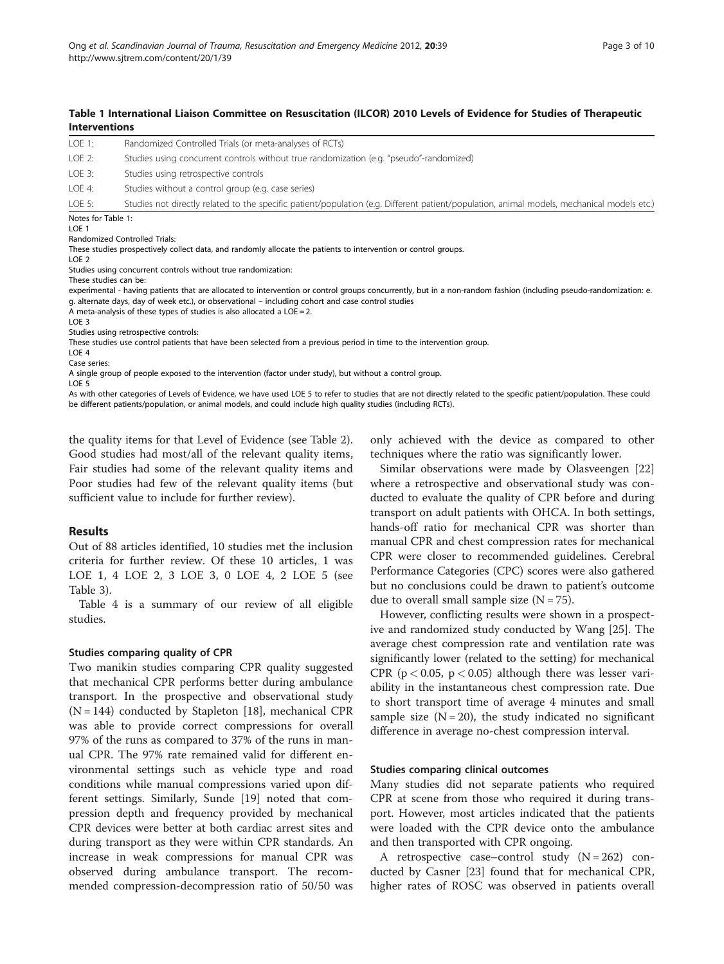#### <span id="page-2-0"></span>Table 1 International Liaison Committee on Resuscitation (ILCOR) 2010 Levels of Evidence for Studies of Therapeutic Interventions

|                                                         | LOE 2:<br>Studies using concurrent controls without true randomization (e.g. "pseudo"-randomized)                                                                                                                                                                                                                                                                                                                                                                                                                     |  |  |  |  |  |  |  |
|---------------------------------------------------------|-----------------------------------------------------------------------------------------------------------------------------------------------------------------------------------------------------------------------------------------------------------------------------------------------------------------------------------------------------------------------------------------------------------------------------------------------------------------------------------------------------------------------|--|--|--|--|--|--|--|
| LOE 3:                                                  | Studies using retrospective controls                                                                                                                                                                                                                                                                                                                                                                                                                                                                                  |  |  |  |  |  |  |  |
| LOE 4:                                                  | Studies without a control group (e.g. case series)                                                                                                                                                                                                                                                                                                                                                                                                                                                                    |  |  |  |  |  |  |  |
| LOE 5:                                                  | Studies not directly related to the specific patient/population (e.g. Different patient/population, animal models, mechanical models etc.)                                                                                                                                                                                                                                                                                                                                                                            |  |  |  |  |  |  |  |
| LOE 1<br>LOE 2                                          | <b>Randomized Controlled Trials:</b><br>These studies prospectively collect data, and randomly allocate the patients to intervention or control groups.<br>Studies using concurrent controls without true randomization:                                                                                                                                                                                                                                                                                              |  |  |  |  |  |  |  |
| These studies can be:<br>LOE 3<br>LOE 4<br>Case series: | experimental - having patients that are allocated to intervention or control groups concurrently, but in a non-random fashion (including pseudo-randomization: e.<br>g. alternate days, day of week etc.), or observational – including cohort and case control studies<br>A meta-analysis of these types of studies is also allocated a $LOE = 2$ .<br>Studies using retrospective controls:<br>These studies use control patients that have been selected from a previous period in time to the intervention group. |  |  |  |  |  |  |  |

As with other categories of Levels of Evidence, we have used LOE 5 to refer to studies that are not directly related to the specific patient/population. These could be different patients/population, or animal models, and could include high quality studies (including RCTs).

the quality items for that Level of Evidence (see Table [2](#page-3-0)). Good studies had most/all of the relevant quality items, Fair studies had some of the relevant quality items and Poor studies had few of the relevant quality items (but sufficient value to include for further review).

# Results

Out of 88 articles identified, 10 studies met the inclusion criteria for further review. Of these 10 articles, 1 was LOE 1, 4 LOE 2, 3 LOE 3, 0 LOE 4, 2 LOE 5 (see Table [3\)](#page-4-0).

Table [4](#page-5-0) is a summary of our review of all eligible studies.

# Studies comparing quality of CPR

Two manikin studies comparing CPR quality suggested that mechanical CPR performs better during ambulance transport. In the prospective and observational study  $(N = 144)$  conducted by Stapleton [\[18](#page-8-0)], mechanical CPR was able to provide correct compressions for overall 97% of the runs as compared to 37% of the runs in manual CPR. The 97% rate remained valid for different environmental settings such as vehicle type and road conditions while manual compressions varied upon different settings. Similarly, Sunde [\[19](#page-8-0)] noted that compression depth and frequency provided by mechanical CPR devices were better at both cardiac arrest sites and during transport as they were within CPR standards. An increase in weak compressions for manual CPR was observed during ambulance transport. The recommended compression-decompression ratio of 50/50 was

only achieved with the device as compared to other techniques where the ratio was significantly lower.

Similar observations were made by Olasveengen [[22](#page-8-0)] where a retrospective and observational study was conducted to evaluate the quality of CPR before and during transport on adult patients with OHCA. In both settings, hands-off ratio for mechanical CPR was shorter than manual CPR and chest compression rates for mechanical CPR were closer to recommended guidelines. Cerebral Performance Categories (CPC) scores were also gathered but no conclusions could be drawn to patient's outcome due to overall small sample size  $(N = 75)$ .

However, conflicting results were shown in a prospective and randomized study conducted by Wang [\[25\]](#page-9-0). The average chest compression rate and ventilation rate was significantly lower (related to the setting) for mechanical CPR ( $p < 0.05$ ,  $p < 0.05$ ) although there was lesser variability in the instantaneous chest compression rate. Due to short transport time of average 4 minutes and small sample size  $(N = 20)$ , the study indicated no significant difference in average no-chest compression interval.

# Studies comparing clinical outcomes

Many studies did not separate patients who required CPR at scene from those who required it during transport. However, most articles indicated that the patients were loaded with the CPR device onto the ambulance and then transported with CPR ongoing.

A retrospective case–control study  $(N = 262)$  conducted by Casner [\[23\]](#page-9-0) found that for mechanical CPR, higher rates of ROSC was observed in patients overall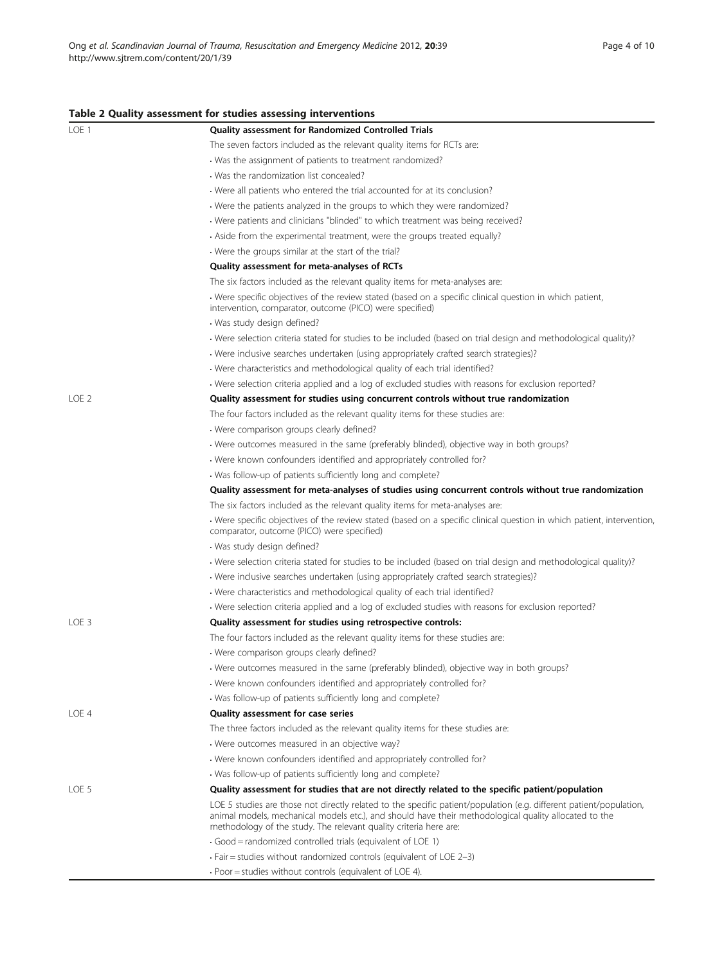# <span id="page-3-0"></span>Table 2 Quality assessment for studies assessing interventions

| LOE 1            | <b>Quality assessment for Randomized Controlled Trials</b>                                                                                                                 |
|------------------|----------------------------------------------------------------------------------------------------------------------------------------------------------------------------|
|                  | The seven factors included as the relevant quality items for RCTs are:                                                                                                     |
|                  | · Was the assignment of patients to treatment randomized?                                                                                                                  |
|                  | · Was the randomization list concealed?                                                                                                                                    |
|                  | Were all patients who entered the trial accounted for at its conclusion?                                                                                                   |
|                  | · Were the patients analyzed in the groups to which they were randomized?                                                                                                  |
|                  | · Were patients and clinicians "blinded" to which treatment was being received?                                                                                            |
|                  | . Aside from the experimental treatment, were the groups treated equally?                                                                                                  |
|                  | Were the groups similar at the start of the trial?                                                                                                                         |
|                  | Quality assessment for meta-analyses of RCTs                                                                                                                               |
|                  | The six factors included as the relevant quality items for meta-analyses are:                                                                                              |
|                  | Were specific objectives of the review stated (based on a specific clinical question in which patient,<br>intervention, comparator, outcome (PICO) were specified)         |
|                  | · Was study design defined?                                                                                                                                                |
|                  | · Were selection criteria stated for studies to be included (based on trial design and methodological quality)?                                                            |
|                  | · Were inclusive searches undertaken (using appropriately crafted search strategies)?                                                                                      |
|                  | · Were characteristics and methodological quality of each trial identified?                                                                                                |
|                  | · Were selection criteria applied and a log of excluded studies with reasons for exclusion reported?                                                                       |
| LOE <sub>2</sub> |                                                                                                                                                                            |
|                  | Quality assessment for studies using concurrent controls without true randomization                                                                                        |
|                  | The four factors included as the relevant quality items for these studies are:                                                                                             |
|                  | · Were comparison groups clearly defined?                                                                                                                                  |
|                  | · Were outcomes measured in the same (preferably blinded), objective way in both groups?                                                                                   |
|                  | · Were known confounders identified and appropriately controlled for?                                                                                                      |
|                  | · Was follow-up of patients sufficiently long and complete?                                                                                                                |
|                  | Quality assessment for meta-analyses of studies using concurrent controls without true randomization                                                                       |
|                  | The six factors included as the relevant quality items for meta-analyses are:                                                                                              |
|                  | Were specific objectives of the review stated (based on a specific clinical question in which patient, intervention,<br>comparator, outcome (PICO) were specified)         |
|                  | · Was study design defined?                                                                                                                                                |
|                  | · Were selection criteria stated for studies to be included (based on trial design and methodological quality)?                                                            |
|                  | · Were inclusive searches undertaken (using appropriately crafted search strategies)?                                                                                      |
|                  | · Were characteristics and methodological quality of each trial identified?                                                                                                |
|                  | · Were selection criteria applied and a log of excluded studies with reasons for exclusion reported?                                                                       |
| LOE <sub>3</sub> | Quality assessment for studies using retrospective controls:                                                                                                               |
|                  | The four factors included as the relevant quality items for these studies are:                                                                                             |
|                  | · Were comparison groups clearly defined?                                                                                                                                  |
|                  | • Were outcomes measured in the same (preferably blinded), objective way in both groups?                                                                                   |
|                  | · Were known confounders identified and appropriately controlled for?                                                                                                      |
|                  | · Was follow-up of patients sufficiently long and complete?                                                                                                                |
| LOE <sub>4</sub> | Quality assessment for case series                                                                                                                                         |
|                  | The three factors included as the relevant quality items for these studies are:                                                                                            |
|                  | · Were outcomes measured in an objective way?                                                                                                                              |
|                  | · Were known confounders identified and appropriately controlled for?                                                                                                      |
|                  | · Was follow-up of patients sufficiently long and complete?                                                                                                                |
| LOE 5            | Quality assessment for studies that are not directly related to the specific patient/population                                                                            |
|                  | LOE 5 studies are those not directly related to the specific patient/population (e.g. different patient/population,                                                        |
|                  | animal models, mechanical models etc.), and should have their methodological quality allocated to the<br>methodology of the study. The relevant quality criteria here are: |
|                  | · Good = randomized controlled trials (equivalent of LOE 1)                                                                                                                |
|                  | · Fair = studies without randomized controls (equivalent of LOE 2-3)                                                                                                       |
|                  | · Poor = studies without controls (equivalent of LOE 4).                                                                                                                   |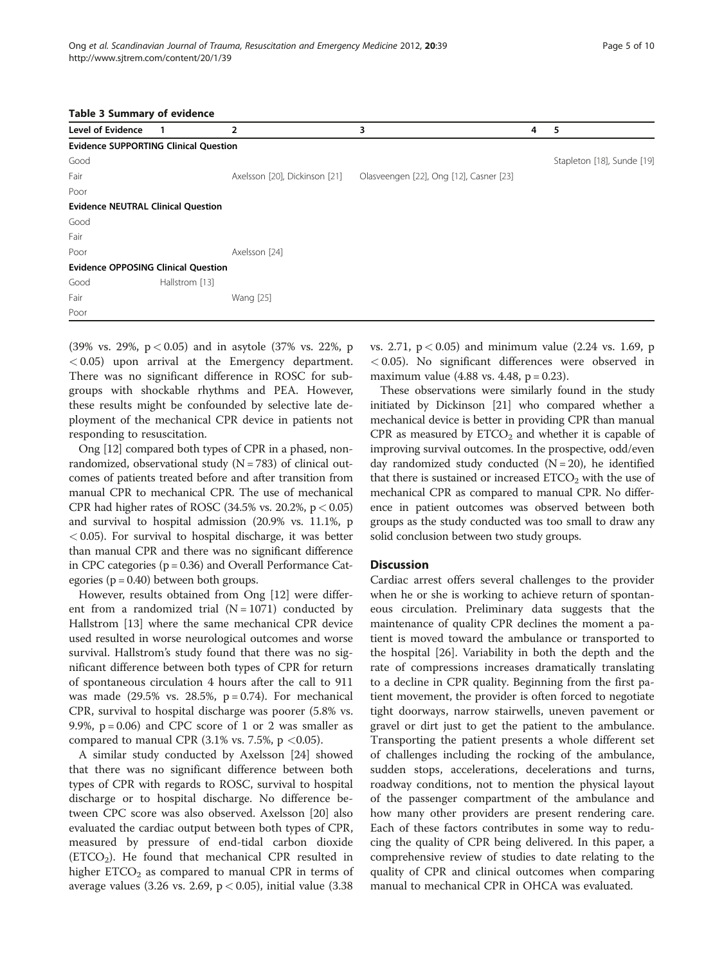<span id="page-4-0"></span>

| Table 3 Summary of evidence                  |                |                               |                                         |   |                            |  |
|----------------------------------------------|----------------|-------------------------------|-----------------------------------------|---|----------------------------|--|
| <b>Level of Evidence</b>                     |                | $\overline{2}$                | 3                                       | 4 | 5                          |  |
| <b>Evidence SUPPORTING Clinical Question</b> |                |                               |                                         |   |                            |  |
| Good                                         |                |                               |                                         |   | Stapleton [18], Sunde [19] |  |
| Fair                                         |                | Axelsson [20], Dickinson [21] | Olasveengen [22], Ong [12], Casner [23] |   |                            |  |
| Poor                                         |                |                               |                                         |   |                            |  |
| <b>Evidence NEUTRAL Clinical Question</b>    |                |                               |                                         |   |                            |  |
| Good                                         |                |                               |                                         |   |                            |  |
| Fair                                         |                |                               |                                         |   |                            |  |
| Poor                                         |                | Axelsson [24]                 |                                         |   |                            |  |
| <b>Evidence OPPOSING Clinical Question</b>   |                |                               |                                         |   |                            |  |
| Good                                         | Hallstrom [13] |                               |                                         |   |                            |  |
| Fair                                         |                | Wang [25]                     |                                         |   |                            |  |
| Poor                                         |                |                               |                                         |   |                            |  |

(39% vs. 29%, p < 0.05) and in asytole (37% vs. 22%, p < 0.05) upon arrival at the Emergency department. There was no significant difference in ROSC for subgroups with shockable rhythms and PEA. However, these results might be confounded by selective late deployment of the mechanical CPR device in patients not responding to resuscitation.

Ong [\[12\]](#page-8-0) compared both types of CPR in a phased, nonrandomized, observational study  $(N = 783)$  of clinical outcomes of patients treated before and after transition from manual CPR to mechanical CPR. The use of mechanical CPR had higher rates of ROSC  $(34.5\% \text{ vs. } 20.2\%, \text{ p} < 0.05)$ and survival to hospital admission (20.9% vs. 11.1%, p  $<$  0.05). For survival to hospital discharge, it was better than manual CPR and there was no significant difference in CPC categories  $(p = 0.36)$  and Overall Performance Categories ( $p = 0.40$ ) between both groups.

However, results obtained from Ong [\[12](#page-8-0)] were different from a randomized trial  $(N = 1071)$  conducted by Hallstrom [[13\]](#page-8-0) where the same mechanical CPR device used resulted in worse neurological outcomes and worse survival. Hallstrom's study found that there was no significant difference between both types of CPR for return of spontaneous circulation 4 hours after the call to 911 was made  $(29.5\% \text{ vs. } 28.5\%, \text{ p} = 0.74)$ . For mechanical CPR, survival to hospital discharge was poorer (5.8% vs. 9.9%,  $p = 0.06$ ) and CPC score of 1 or 2 was smaller as compared to manual CPR  $(3.1\% \text{ vs. } 7.5\%, \text{ p } < 0.05)$ .

A similar study conducted by Axelsson [\[24\]](#page-9-0) showed that there was no significant difference between both types of CPR with regards to ROSC, survival to hospital discharge or to hospital discharge. No difference between CPC score was also observed. Axelsson [[20\]](#page-8-0) also evaluated the cardiac output between both types of CPR, measured by pressure of end-tidal carbon dioxide  $(ETCO<sub>2</sub>)$ . He found that mechanical CPR resulted in higher  $ETCO<sub>2</sub>$  as compared to manual CPR in terms of average values (3.26 vs. 2.69,  $p < 0.05$ ), initial value (3.38) vs. 2.71,  $p < 0.05$ ) and minimum value (2.24 vs. 1.69, p < 0.05). No significant differences were observed in maximum value  $(4.88 \text{ vs. } 4.48, \text{ p} = 0.23)$ .

These observations were similarly found in the study initiated by Dickinson [\[21\]](#page-8-0) who compared whether a mechanical device is better in providing CPR than manual CPR as measured by  $ETCO<sub>2</sub>$  and whether it is capable of improving survival outcomes. In the prospective, odd/even day randomized study conducted  $(N = 20)$ , he identified that there is sustained or increased  $ETCO<sub>2</sub>$  with the use of mechanical CPR as compared to manual CPR. No difference in patient outcomes was observed between both groups as the study conducted was too small to draw any solid conclusion between two study groups.

# **Discussion**

Cardiac arrest offers several challenges to the provider when he or she is working to achieve return of spontaneous circulation. Preliminary data suggests that the maintenance of quality CPR declines the moment a patient is moved toward the ambulance or transported to the hospital [\[26](#page-9-0)]. Variability in both the depth and the rate of compressions increases dramatically translating to a decline in CPR quality. Beginning from the first patient movement, the provider is often forced to negotiate tight doorways, narrow stairwells, uneven pavement or gravel or dirt just to get the patient to the ambulance. Transporting the patient presents a whole different set of challenges including the rocking of the ambulance, sudden stops, accelerations, decelerations and turns, roadway conditions, not to mention the physical layout of the passenger compartment of the ambulance and how many other providers are present rendering care. Each of these factors contributes in some way to reducing the quality of CPR being delivered. In this paper, a comprehensive review of studies to date relating to the quality of CPR and clinical outcomes when comparing manual to mechanical CPR in OHCA was evaluated.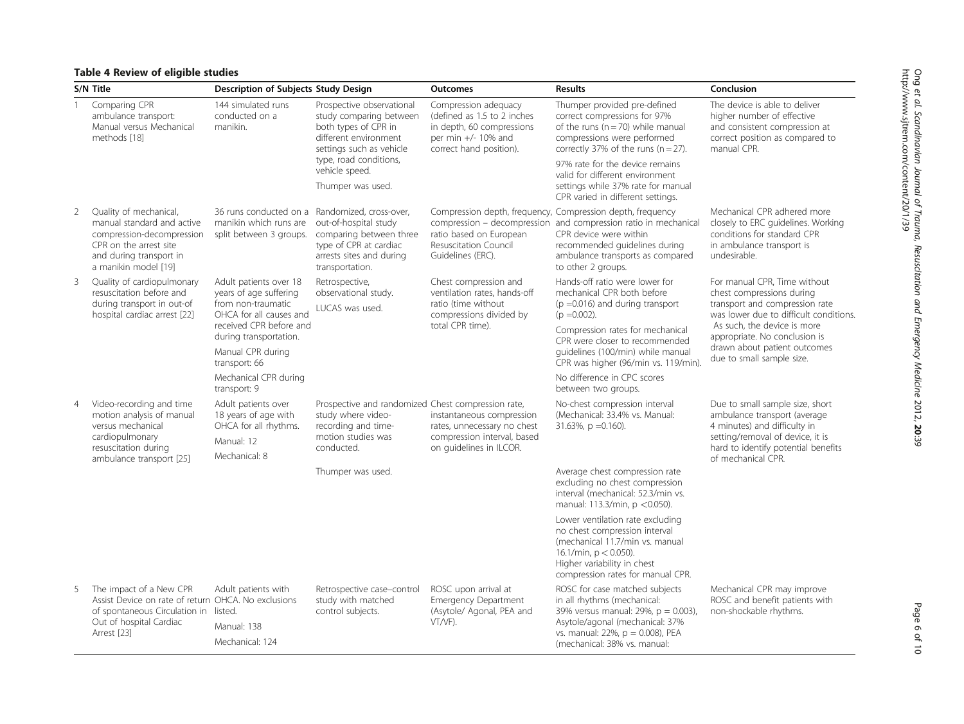# <span id="page-5-0"></span>Table 4 Review of eligible studies

|                | S/N Title                                                                                                                                                      | Description of Subjects Study Design                                                                |                                                                                                                                     | <b>Outcomes</b>                                                                                                                       | <b>Results</b>                                                                                                                                                                                                                                                                          | Conclusion                                                                                                                                                                                                                                                         |
|----------------|----------------------------------------------------------------------------------------------------------------------------------------------------------------|-----------------------------------------------------------------------------------------------------|-------------------------------------------------------------------------------------------------------------------------------------|---------------------------------------------------------------------------------------------------------------------------------------|-----------------------------------------------------------------------------------------------------------------------------------------------------------------------------------------------------------------------------------------------------------------------------------------|--------------------------------------------------------------------------------------------------------------------------------------------------------------------------------------------------------------------------------------------------------------------|
|                | Comparing CPR<br>ambulance transport:<br>Manual versus Mechanical<br>methods [18]                                                                              | 144 simulated runs<br>conducted on a<br>manikin.                                                    | Prospective observational<br>study comparing between<br>both types of CPR in<br>different environment<br>settings such as vehicle   | Compression adequacy<br>(defined as 1.5 to 2 inches<br>in depth, 60 compressions<br>per min $+/- 10\%$ and<br>correct hand position). | Thumper provided pre-defined<br>correct compressions for 97%<br>of the runs ( $n = 70$ ) while manual<br>compressions were performed<br>correctly 37% of the runs ( $n = 27$ ).                                                                                                         | The device is able to deliver<br>higher number of effective<br>and consistent compression at<br>correct position as compared to<br>manual CPR.                                                                                                                     |
|                |                                                                                                                                                                |                                                                                                     | type, road conditions,<br>vehicle speed.<br>Thumper was used.                                                                       |                                                                                                                                       | 97% rate for the device remains<br>valid for different environment<br>settings while 37% rate for manual                                                                                                                                                                                |                                                                                                                                                                                                                                                                    |
| 2              | Quality of mechanical,<br>manual standard and active<br>compression-decompression<br>CPR on the arrest site<br>and during transport in<br>a manikin model [19] | 36 runs conducted on a Randomized, cross-over,<br>manikin which runs are<br>split between 3 groups. | out-of-hospital study<br>comparing between three<br>type of CPR at cardiac<br>arrests sites and during<br>transportation.           | ratio based on European<br>Resuscitation Council<br>Guidelines (ERC).                                                                 | CPR varied in different settings.<br>Compression depth, frequency, Compression depth, frequency<br>compression – decompression and compression ratio in mechanical<br>CPR device were within<br>recommended quidelines during<br>ambulance transports as compared<br>to other 2 groups. | Mechanical CPR adhered more<br>closely to ERC quidelines. Working<br>conditions for standard CPR<br>in ambulance transport is<br>undesirable.                                                                                                                      |
| 3              | Quality of cardiopulmonary<br>resuscitation before and<br>during transport in out-of<br>hospital cardiac arrest [22]                                           | Adult patients over 18<br>years of age suffering<br>from non-traumatic<br>OHCA for all causes and   | Retrospective,<br>observational study.<br>LUCAS was used.                                                                           | Chest compression and<br>ventilation rates, hands-off<br>ratio (time without<br>compressions divided by<br>total CPR time).           | Hands-off ratio were lower for<br>mechanical CPR both before<br>$(p = 0.016)$ and during transport<br>$(p = 0.002)$ .                                                                                                                                                                   | For manual CPR, Time without<br>chest compressions during<br>transport and compression rate<br>was lower due to difficult conditions.<br>As such, the device is more<br>appropriate. No conclusion is<br>drawn about patient outcomes<br>due to small sample size. |
|                |                                                                                                                                                                | received CPR before and<br>during transportation.                                                   |                                                                                                                                     |                                                                                                                                       | Compression rates for mechanical<br>CPR were closer to recommended<br>guidelines (100/min) while manual<br>CPR was higher (96/min vs. 119/min).                                                                                                                                         |                                                                                                                                                                                                                                                                    |
|                |                                                                                                                                                                | Manual CPR during<br>transport: 66                                                                  |                                                                                                                                     |                                                                                                                                       |                                                                                                                                                                                                                                                                                         |                                                                                                                                                                                                                                                                    |
|                |                                                                                                                                                                | Mechanical CPR during<br>transport: 9                                                               |                                                                                                                                     |                                                                                                                                       | No difference in CPC scores<br>between two groups.                                                                                                                                                                                                                                      |                                                                                                                                                                                                                                                                    |
| $\overline{4}$ | Video-recording and time<br>motion analysis of manual<br>versus mechanical<br>cardiopulmonary<br>resuscitation during<br>ambulance transport [25]              | Adult patients over<br>18 years of age with<br>OHCA for all rhythms.<br>Manual: 12<br>Mechanical: 8 | Prospective and randomized Chest compression rate,<br>study where video-<br>recording and time-<br>motion studies was<br>conducted. | instantaneous compression<br>rates, unnecessary no chest<br>compression interval, based<br>on quidelines in ILCOR.                    | No-chest compression interval<br>(Mechanical: 33.4% vs. Manual:<br>$31.63\%$ , p = 0.160).                                                                                                                                                                                              | Due to small sample size, short<br>ambulance transport (average<br>4 minutes) and difficulty in<br>setting/removal of device, it is<br>hard to identify potential benefits<br>of mechanical CPR.                                                                   |
|                |                                                                                                                                                                |                                                                                                     | Thumper was used.                                                                                                                   |                                                                                                                                       | Average chest compression rate<br>excluding no chest compression<br>interval (mechanical: 52.3/min vs.<br>manual: 113.3/min, p < 0.050).                                                                                                                                                |                                                                                                                                                                                                                                                                    |
|                |                                                                                                                                                                |                                                                                                     |                                                                                                                                     |                                                                                                                                       | Lower ventilation rate excluding<br>no chest compression interval<br>(mechanical 11.7/min vs. manual<br>16.1/min, $p < 0.050$ ).<br>Higher variability in chest<br>compression rates for manual CPR.                                                                                    |                                                                                                                                                                                                                                                                    |
| 5              | The impact of a New CPR<br>Assist Device on rate of return OHCA. No exclusions<br>of spontaneous Circulation in listed.                                        | Adult patients with                                                                                 | Retrospective case-control<br>study with matched<br>control subjects.                                                               | ROSC upon arrival at<br><b>Emergency Department</b><br>(Asytole/ Agonal, PEA and<br>VT/VF).                                           | ROSC for case matched subjects<br>in all rhythms (mechanical:<br>39% versus manual: 29%, p = 0.003),<br>Asytole/agonal (mechanical: 37%<br>vs. manual: 22%, p = 0.008), PEA<br>(mechanical: 38% vs. manual:                                                                             | Mechanical CPR may improve<br>ROSC and benefit patients with<br>non-shockable rhythms.                                                                                                                                                                             |
|                | Out of hospital Cardiac<br>Arrest [23]                                                                                                                         | Manual: 138                                                                                         |                                                                                                                                     |                                                                                                                                       |                                                                                                                                                                                                                                                                                         |                                                                                                                                                                                                                                                                    |
|                |                                                                                                                                                                | Mechanical: 124                                                                                     |                                                                                                                                     |                                                                                                                                       |                                                                                                                                                                                                                                                                                         |                                                                                                                                                                                                                                                                    |

Page 6 of 10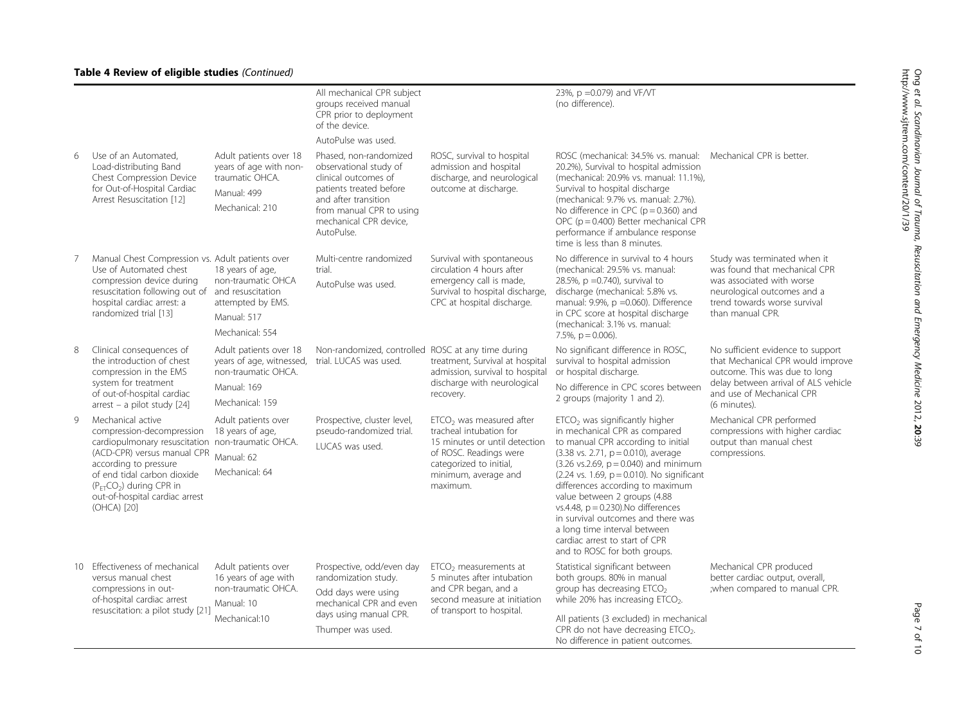# Table 4 Review of eligible studies (Continued)

|                 |                                                                                                                                                                                                                                                                                                 |                                                                                                                    | All mechanical CPR subject<br>groups received manual<br>CPR prior to deployment<br>of the device.                                                                                               |                                                                                                                                                                                 | 23%, p = 0.079) and VF/VT<br>(no difference).                                                                                                                                                                                                                                                                                                                                                                                                                                                                                                   |                                                                                                                                                                                              |
|-----------------|-------------------------------------------------------------------------------------------------------------------------------------------------------------------------------------------------------------------------------------------------------------------------------------------------|--------------------------------------------------------------------------------------------------------------------|-------------------------------------------------------------------------------------------------------------------------------------------------------------------------------------------------|---------------------------------------------------------------------------------------------------------------------------------------------------------------------------------|-------------------------------------------------------------------------------------------------------------------------------------------------------------------------------------------------------------------------------------------------------------------------------------------------------------------------------------------------------------------------------------------------------------------------------------------------------------------------------------------------------------------------------------------------|----------------------------------------------------------------------------------------------------------------------------------------------------------------------------------------------|
|                 |                                                                                                                                                                                                                                                                                                 |                                                                                                                    | AutoPulse was used.                                                                                                                                                                             |                                                                                                                                                                                 |                                                                                                                                                                                                                                                                                                                                                                                                                                                                                                                                                 |                                                                                                                                                                                              |
| 6               | Use of an Automated,<br>Load-distributing Band<br><b>Chest Compression Device</b><br>for Out-of-Hospital Cardiac<br>Arrest Resuscitation [12]                                                                                                                                                   | Adult patients over 18<br>years of age with non-<br>traumatic OHCA.<br>Manual: 499<br>Mechanical: 210              | Phased, non-randomized<br>observational study of<br>clinical outcomes of<br>patients treated before<br>and after transition<br>from manual CPR to using<br>mechanical CPR device,<br>AutoPulse. | ROSC, survival to hospital<br>admission and hospital<br>discharge, and neurological<br>outcome at discharge.                                                                    | ROSC (mechanical: 34.5% vs. manual: Mechanical CPR is better.<br>20.2%), Survival to hospital admission<br>(mechanical: 20.9% vs. manual: 11.1%),<br>Survival to hospital discharge<br>(mechanical: 9.7% vs. manual: 2.7%).<br>No difference in CPC ( $p = 0.360$ ) and<br>OPC ( $p = 0.400$ ) Better mechanical CPR<br>performance if ambulance response<br>time is less than 8 minutes.                                                                                                                                                       |                                                                                                                                                                                              |
| 7               | Manual Chest Compression vs. Adult patients over<br>Use of Automated chest<br>compression device during<br>resuscitation following out of<br>hospital cardiac arrest: a<br>randomized trial [13]                                                                                                | 18 years of age,<br>non-traumatic OHCA<br>and resuscitation<br>attempted by EMS.<br>Manual: 517<br>Mechanical: 554 | Multi-centre randomized<br>trial.<br>AutoPulse was used.                                                                                                                                        | Survival with spontaneous<br>circulation 4 hours after<br>emergency call is made,<br>Survival to hospital discharge,<br>CPC at hospital discharge.                              | No difference in survival to 4 hours<br>(mechanical: 29.5% vs. manual:<br>28.5%, p = 0.740), survival to<br>discharge (mechanical: 5.8% vs.<br>manual: 9.9%, p = 0.060). Difference<br>in CPC score at hospital discharge<br>(mechanical: 3.1% vs. manual:<br>7.5%, $p = 0.006$ ).                                                                                                                                                                                                                                                              | Study was terminated when it<br>was found that mechanical CPR<br>was associated with worse<br>neurological outcomes and a<br>trend towards worse survival<br>than manual CPR.                |
| 8               | Clinical consequences of<br>the introduction of chest<br>compression in the EMS<br>system for treatment<br>of out-of-hospital cardiac<br>$arrest - a pilot study [24]$                                                                                                                          | Adult patients over 18<br>years of age, witnessed,<br>non-traumatic OHCA.<br>Manual: 169<br>Mechanical: 159        | Non-randomized, controlled ROSC at any time during<br>trial. LUCAS was used.                                                                                                                    | treatment, Survival at hospital<br>admission, survival to hospital<br>discharge with neurological<br>recovery.                                                                  | No significant difference in ROSC,<br>survival to hospital admission<br>or hospital discharge.<br>No difference in CPC scores between<br>2 groups (majority 1 and 2).                                                                                                                                                                                                                                                                                                                                                                           | No sufficient evidence to support<br>that Mechanical CPR would improve<br>outcome. This was due to long<br>delay between arrival of ALS vehicle<br>and use of Mechanical CPR<br>(6 minutes). |
| 9               | Mechanical active<br>compression-decompression<br>cardiopulmonary resuscitation non-traumatic OHCA.<br>(ACD-CPR) versus manual CPR<br>according to pressure<br>of end tidal carbon dioxide<br>(P <sub>FT</sub> CO <sub>2</sub> ) during CPR in<br>out-of-hospital cardiac arrest<br>(OHCA) [20] | Adult patients over<br>18 years of age,<br>Manual: 62<br>Mechanical: 64                                            | Prospective, cluster level,<br>pseudo-randomized trial.<br>LUCAS was used.                                                                                                                      | $ETCO2$ was measured after<br>tracheal intubation for<br>15 minutes or until detection<br>of ROSC. Readings were<br>categorized to initial,<br>minimum, average and<br>maximum. | $ETCO2$ was significantly higher<br>in mechanical CPR as compared<br>to manual CPR according to initial<br>$(3.38 \text{ vs. } 2.71, \text{ p} = 0.010)$ , average<br>$(3.26 \text{ vs. } 2.69, \text{ p} = 0.040)$ and minimum<br>$(2.24 \text{ vs. } 1.69, p = 0.010)$ . No significant<br>differences according to maximum<br>value between 2 groups (4.88<br>vs.4.48, $p = 0.230$ ). No differences<br>in survival outcomes and there was<br>a long time interval between<br>cardiac arrest to start of CPR<br>and to ROSC for both groups. | Mechanical CPR performed<br>compressions with higher cardiac<br>output than manual chest<br>compressions.                                                                                    |
| 10 <sup>°</sup> | Effectiveness of mechanical<br>versus manual chest<br>compressions in out-<br>of-hospital cardiac arrest<br>resuscitation: a pilot study [21]                                                                                                                                                   | Adult patients over<br>16 years of age with<br>non-traumatic OHCA.<br>Manual: 10<br>Mechanical:10                  | Prospective, odd/even day<br>randomization study.<br>Odd days were using<br>mechanical CPR and even<br>days using manual CPR.<br>Thumper was used.                                              | $ETCO2$ measurements at<br>5 minutes after intubation<br>and CPR began, and a<br>second measure at initiation<br>of transport to hospital.                                      | Statistical significant between<br>both groups. 80% in manual<br>group has decreasing ETCO <sub>2</sub><br>while 20% has increasing ETCO <sub>2</sub> .<br>All patients (3 excluded) in mechanical<br>CPR do not have decreasing ETCO2.<br>No difference in patient outcomes.                                                                                                                                                                                                                                                                   | Mechanical CPR produced<br>better cardiac output, overall,<br>; when compared to manual CPR.                                                                                                 |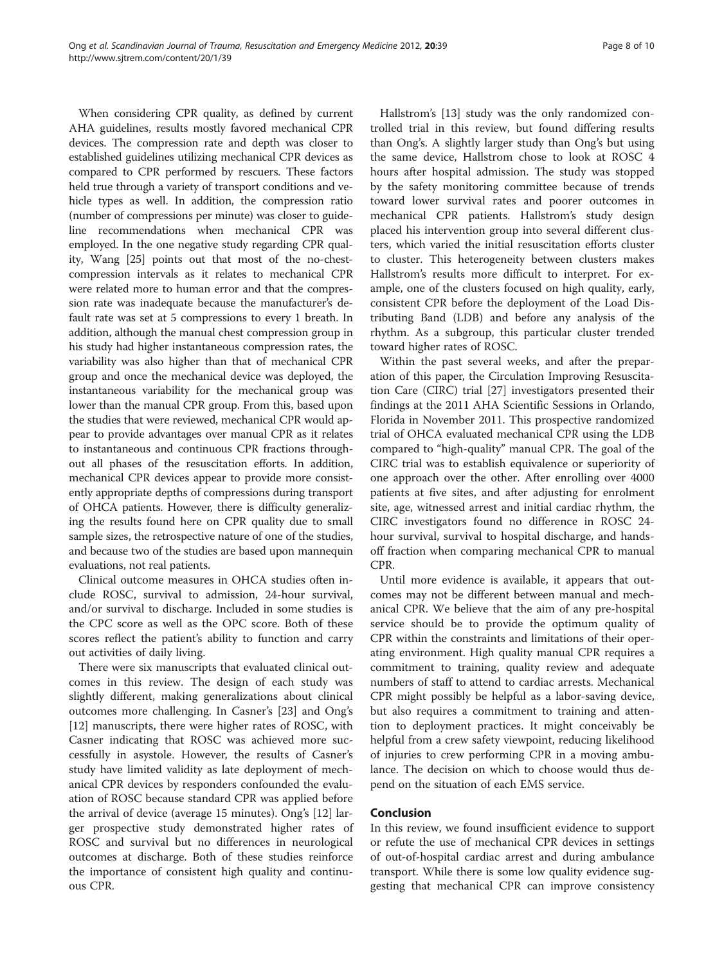When considering CPR quality, as defined by current AHA guidelines, results mostly favored mechanical CPR devices. The compression rate and depth was closer to established guidelines utilizing mechanical CPR devices as compared to CPR performed by rescuers. These factors held true through a variety of transport conditions and vehicle types as well. In addition, the compression ratio (number of compressions per minute) was closer to guideline recommendations when mechanical CPR was employed. In the one negative study regarding CPR quality, Wang [[25\]](#page-9-0) points out that most of the no-chestcompression intervals as it relates to mechanical CPR were related more to human error and that the compression rate was inadequate because the manufacturer's default rate was set at 5 compressions to every 1 breath. In addition, although the manual chest compression group in his study had higher instantaneous compression rates, the variability was also higher than that of mechanical CPR group and once the mechanical device was deployed, the instantaneous variability for the mechanical group was lower than the manual CPR group. From this, based upon the studies that were reviewed, mechanical CPR would appear to provide advantages over manual CPR as it relates to instantaneous and continuous CPR fractions throughout all phases of the resuscitation efforts. In addition, mechanical CPR devices appear to provide more consistently appropriate depths of compressions during transport of OHCA patients. However, there is difficulty generalizing the results found here on CPR quality due to small sample sizes, the retrospective nature of one of the studies, and because two of the studies are based upon mannequin evaluations, not real patients.

Clinical outcome measures in OHCA studies often include ROSC, survival to admission, 24-hour survival, and/or survival to discharge. Included in some studies is the CPC score as well as the OPC score. Both of these scores reflect the patient's ability to function and carry out activities of daily living.

There were six manuscripts that evaluated clinical outcomes in this review. The design of each study was slightly different, making generalizations about clinical outcomes more challenging. In Casner's [[23](#page-9-0)] and Ong's [[12\]](#page-8-0) manuscripts, there were higher rates of ROSC, with Casner indicating that ROSC was achieved more successfully in asystole. However, the results of Casner's study have limited validity as late deployment of mechanical CPR devices by responders confounded the evaluation of ROSC because standard CPR was applied before the arrival of device (average 15 minutes). Ong's [[12](#page-8-0)] larger prospective study demonstrated higher rates of ROSC and survival but no differences in neurological outcomes at discharge. Both of these studies reinforce the importance of consistent high quality and continuous CPR.

Hallstrom's [\[13\]](#page-8-0) study was the only randomized controlled trial in this review, but found differing results than Ong's. A slightly larger study than Ong's but using the same device, Hallstrom chose to look at ROSC 4 hours after hospital admission. The study was stopped by the safety monitoring committee because of trends toward lower survival rates and poorer outcomes in mechanical CPR patients. Hallstrom's study design placed his intervention group into several different clusters, which varied the initial resuscitation efforts cluster to cluster. This heterogeneity between clusters makes Hallstrom's results more difficult to interpret. For example, one of the clusters focused on high quality, early, consistent CPR before the deployment of the Load Distributing Band (LDB) and before any analysis of the rhythm. As a subgroup, this particular cluster trended toward higher rates of ROSC.

Within the past several weeks, and after the preparation of this paper, the Circulation Improving Resuscitation Care (CIRC) trial [\[27\]](#page-9-0) investigators presented their findings at the 2011 AHA Scientific Sessions in Orlando, Florida in November 2011. This prospective randomized trial of OHCA evaluated mechanical CPR using the LDB compared to "high-quality" manual CPR. The goal of the CIRC trial was to establish equivalence or superiority of one approach over the other. After enrolling over 4000 patients at five sites, and after adjusting for enrolment site, age, witnessed arrest and initial cardiac rhythm, the CIRC investigators found no difference in ROSC 24 hour survival, survival to hospital discharge, and handsoff fraction when comparing mechanical CPR to manual CPR.

Until more evidence is available, it appears that outcomes may not be different between manual and mechanical CPR. We believe that the aim of any pre-hospital service should be to provide the optimum quality of CPR within the constraints and limitations of their operating environment. High quality manual CPR requires a commitment to training, quality review and adequate numbers of staff to attend to cardiac arrests. Mechanical CPR might possibly be helpful as a labor-saving device, but also requires a commitment to training and attention to deployment practices. It might conceivably be helpful from a crew safety viewpoint, reducing likelihood of injuries to crew performing CPR in a moving ambulance. The decision on which to choose would thus depend on the situation of each EMS service.

# Conclusion

In this review, we found insufficient evidence to support or refute the use of mechanical CPR devices in settings of out-of-hospital cardiac arrest and during ambulance transport. While there is some low quality evidence suggesting that mechanical CPR can improve consistency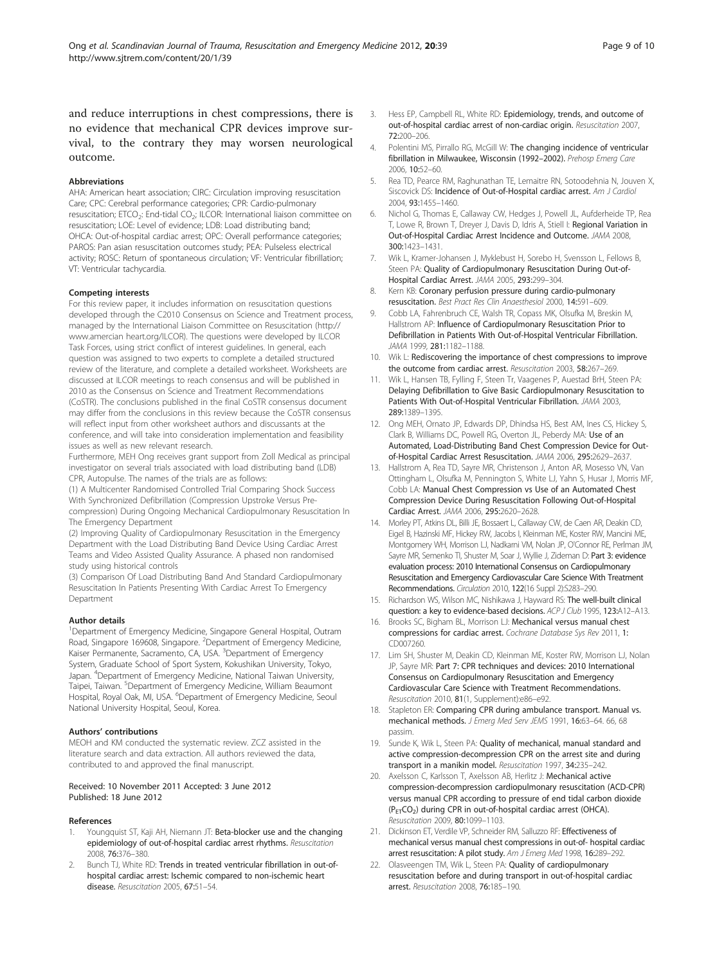<span id="page-8-0"></span>no evidence that mechanical CPR devices improve survival, to the contrary they may worsen neurological outcome.

#### **Abbreviations**

AHA: American heart association; CIRC: Circulation improving resuscitation Care; CPC: Cerebral performance categories; CPR: Cardio-pulmonary resuscitation; ETCO<sub>2</sub>: End-tidal CO<sub>2</sub>; ILCOR: International liaison committee on resuscitation; LOE: Level of evidence; LDB: Load distributing band; OHCA: Out-of-hospital cardiac arrest; OPC: Overall performance categories; PAROS: Pan asian resuscitation outcomes study; PEA: Pulseless electrical activity; ROSC: Return of spontaneous circulation; VF: Ventricular fibrillation; VT: Ventricular tachycardia.

#### Competing interests

For this review paper, it includes information on resuscitation questions developed through the C2010 Consensus on Science and Treatment process, managed by the International Liaison Committee on Resuscitation (http:// www.amercian heart.org/ILCOR). The questions were developed by ILCOR Task Forces, using strict conflict of interest guidelines. In general, each question was assigned to two experts to complete a detailed structured review of the literature, and complete a detailed worksheet. Worksheets are discussed at ILCOR meetings to reach consensus and will be published in 2010 as the Consensus on Science and Treatment Recommendations (CoSTR). The conclusions published in the final CoSTR consensus document may differ from the conclusions in this review because the CoSTR consensus will reflect input from other worksheet authors and discussants at the conference, and will take into consideration implementation and feasibility issues as well as new relevant research.

Furthermore, MEH Ong receives grant support from Zoll Medical as principal investigator on several trials associated with load distributing band (LDB) CPR, Autopulse. The names of the trials are as follows:

(1) A Multicenter Randomised Controlled Trial Comparing Shock Success With Synchronized Defibrillation (Compression Upstroke Versus Precompression) During Ongoing Mechanical Cardiopulmonary Resuscitation In The Emergency Department

(2) Improving Quality of Cardiopulmonary Resuscitation in the Emergency Department with the Load Distributing Band Device Using Cardiac Arrest Teams and Video Assisted Quality Assurance. A phased non randomised study using historical controls

(3) Comparison Of Load Distributing Band And Standard Cardiopulmonary Resuscitation In Patients Presenting With Cardiac Arrest To Emergency **Department** 

#### Author details

<sup>1</sup>Department of Emergency Medicine, Singapore General Hospital, Outram Road, Singapore 169608, Singapore. <sup>2</sup>Department of Emergency Medicine, Kaiser Permanente, Sacramento, CA, USA. <sup>3</sup>Department of Emergency System, Graduate School of Sport System, Kokushikan University, Tokyo, Japan. <sup>4</sup> Department of Emergency Medicine, National Taiwan University, Taipei, Taiwan. <sup>5</sup>Department of Emergency Medicine, William Beaumont Hospital, Royal Oak, MI, USA. <sup>6</sup>Department of Emergency Medicine, Seoul National University Hospital, Seoul, Korea.

#### Authors' contributions

MEOH and KM conducted the systematic review. ZCZ assisted in the literature search and data extraction. All authors reviewed the data, contributed to and approved the final manuscript.

#### Received: 10 November 2011 Accepted: 3 June 2012 Published: 18 June 2012

#### References

- Youngquist ST, Kaji AH, Niemann JT: Beta-blocker use and the changing epidemiology of out-of-hospital cardiac arrest rhythms. Resuscitation 2008, 76:376–380.
- Bunch TJ, White RD: Trends in treated ventricular fibrillation in out-ofhospital cardiac arrest: Ischemic compared to non-ischemic heart disease. Resuscitation 2005, 67:51–54.
- Hess EP, Campbell RL, White RD: Epidemiology, trends, and outcome of out-of-hospital cardiac arrest of non-cardiac origin. Resuscitation 2007, 72:200–206.
- Polentini MS, Pirrallo RG, McGill W: The changing incidence of ventricular fibrillation in Milwaukee, Wisconsin (1992–2002). Prehosp Emerg Care 2006, 10:52–60.
- 5. Rea TD, Pearce RM, Raghunathan TE, Lemaitre RN, Sotoodehnia N, Jouven X, Siscovick DS: Incidence of Out-of-Hospital cardiac arrest. Am J Cardiol 2004, 93:1455–1460.
- 6. Nichol G, Thomas E, Callaway CW, Hedges J, Powell JL, Aufderheide TP, Rea T, Lowe R, Brown T, Dreyer J, Davis D, Idris A, Stiell I: Regional Variation in Out-of-Hospital Cardiac Arrest Incidence and Outcome. JAMA 2008, 300:1423–1431.
- 7. Wik L, Kramer-Johansen J, Myklebust H, Sorebo H, Svensson L, Fellows B, Steen PA: Quality of Cardiopulmonary Resuscitation During Out-of-Hospital Cardiac Arrest. JAMA 2005, 293:299–304.
- 8. Kern KB: Coronary perfusion pressure during cardio-pulmonary resuscitation. Best Pract Res Clin Anaesthesiol 2000, 14:591–609.
- Cobb LA, Fahrenbruch CE, Walsh TR, Copass MK, Olsufka M, Breskin M, Hallstrom AP: Influence of Cardiopulmonary Resuscitation Prior to Defibrillation in Patients With Out-of-Hospital Ventricular Fibrillation. JAMA 1999, 281:1182-1188.
- 10. Wik L: Rediscovering the importance of chest compressions to improve the outcome from cardiac arrest. Resuscitation 2003, 58:267-269.
- 11. Wik L, Hansen TB, Fylling F, Steen Tr, Vaagenes P, Auestad BrH, Steen PA: Delaying Defibrillation to Give Basic Cardiopulmonary Resuscitation to Patients With Out-of-Hospital Ventricular Fibrillation. JAMA 2003, 289:1389–1395.
- 12. Ong MEH, Ornato JP, Edwards DP, Dhindsa HS, Best AM, Ines CS, Hickey S, Clark B, Williams DC, Powell RG, Overton JL, Peberdy MA: Use of an Automated, Load-Distributing Band Chest Compression Device for Outof-Hospital Cardiac Arrest Resuscitation. JAMA 2006, 295:2629–2637.
- 13. Hallstrom A, Rea TD, Sayre MR, Christenson J, Anton AR, Mosesso VN, Van Ottingham L, Olsufka M, Pennington S, White LJ, Yahn S, Husar J, Morris MF, Cobb LA: Manual Chest Compression vs Use of an Automated Chest Compression Device During Resuscitation Following Out-of-Hospital Cardiac Arrest. JAMA 2006, 295:2620–2628.
- 14. Morley PT, Atkins DL, Billi JE, Bossaert L, Callaway CW, de Caen AR, Deakin CD, Eigel B, Hazinski MF, Hickey RW, Jacobs I, Kleinman ME, Koster RW, Mancini ME, Montgomery WH, Morrison LJ, Nadkarni VM, Nolan JP, O'Connor RE, Perlman JM, Sayre MR, Semenko TI, Shuster M, Soar J, Wyllie J, Zideman D: Part 3: evidence evaluation process: 2010 International Consensus on Cardiopulmonary Resuscitation and Emergency Cardiovascular Care Science With Treatment Recommendations. Circulation 2010, 122(16 Suppl 2):S283–290.
- 15. Richardson WS, Wilson MC, Nishikawa J, Hayward RS: The well-built clinical question: a key to evidence-based decisions. ACP J Club 1995, 123:A12–A13.
- 16. Brooks SC, Bigham BL, Morrison LJ: Mechanical versus manual chest compressions for cardiac arrest. Cochrane Database Sys Rev 2011, 1: CD007260.
- 17. Lim SH, Shuster M, Deakin CD, Kleinman ME, Koster RW, Morrison LJ, Nolan JP, Sayre MR: Part 7: CPR techniques and devices: 2010 International Consensus on Cardiopulmonary Resuscitation and Emergency Cardiovascular Care Science with Treatment Recommendations. Resuscitation 2010, 81(1, Supplement):e86–e92.
- 18. Stapleton ER: Comparing CPR during ambulance transport. Manual vs. mechanical methods. J Emerg Med Serv JEMS 1991, 16:63–64. 66, 68 passim.
- 19. Sunde K, Wik L, Steen PA: Quality of mechanical, manual standard and active compression-decompression CPR on the arrest site and during transport in a manikin model. Resuscitation 1997, 34:235–242.
- 20. Axelsson C, Karlsson T, Axelsson AB, Herlitz J: Mechanical active compression-decompression cardiopulmonary resuscitation (ACD-CPR) versus manual CPR according to pressure of end tidal carbon dioxide  $(P_{ET}CO<sub>2</sub>)$  during CPR in out-of-hospital cardiac arrest (OHCA). Resuscitation 2009, 80:1099–1103.
- 21. Dickinson ET, Verdile VP, Schneider RM, Salluzzo RF: Effectiveness of mechanical versus manual chest compressions in out-of- hospital cardiac arrest resuscitation: A pilot study. Am J Emerg Med 1998, 16:289-292.
- 22. Olasveengen TM, Wik L, Steen PA: Quality of cardiopulmonary resuscitation before and during transport in out-of-hospital cardiac arrest. Resuscitation 2008, 76:185–190.